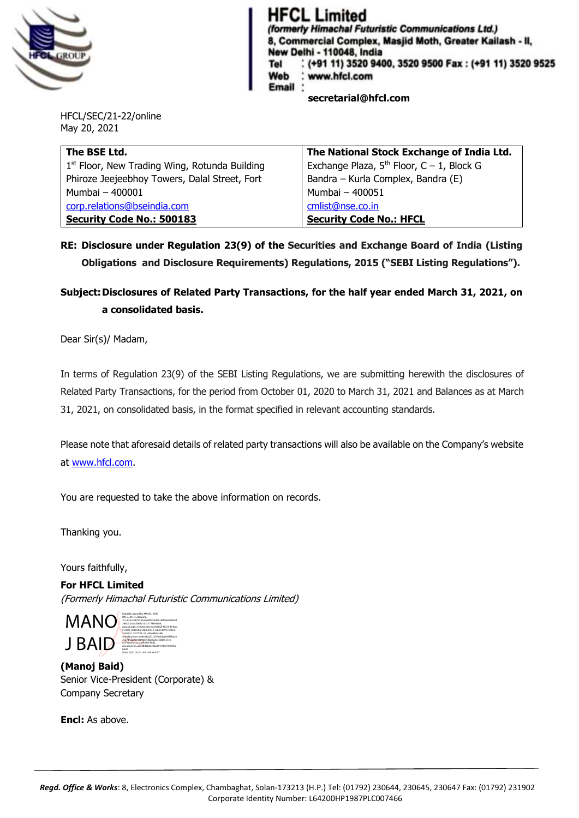

## **HFCL Limited**

(formerly Himachal Futuristic Communications Ltd.) 8, Commercial Complex, Masjid Moth, Greater Kailash - II, New Delhi - 110048, India (+91 11) 3520 9400, 3520 9500 Fax: (+91 11) 3520 9525 Tel Web www.hfcl.com Email **secretarial@hfcl.com**

HFCL/SEC/21-22/online May 20, 2021

| The BSE Ltd.                                    | The National Stock Exchange of India Ltd.   |  |
|-------------------------------------------------|---------------------------------------------|--|
| $1st$ Floor, New Trading Wing, Rotunda Building | Exchange Plaza, $5th$ Floor, C – 1, Block G |  |
| Phiroze Jeejeebhoy Towers, Dalal Street, Fort   | Bandra - Kurla Complex, Bandra (E)          |  |
| Mumbai - 400001                                 | Mumbai - 400051                             |  |
| corp.relations@bseindia.com                     | cmlist@nse.co.in                            |  |
| <b>Security Code No.: 500183</b>                | <b>Security Code No.: HFCL</b>              |  |

## **RE: Disclosure under Regulation 23(9) of the Securities and Exchange Board of India (Listing Obligations and Disclosure Requirements) Regulations, 2015 ("SEBI Listing Regulations").**

## **Subject:Disclosures of Related Party Transactions, for the half year ended March 31, 2021, on a consolidated basis.**

Dear Sir(s)/ Madam,

In terms of Regulation 23(9) of the SEBI Listing Regulations, we are submitting herewith the disclosures of Related Party Transactions, for the period from October 01, 2020 to March 31, 2021 and Balances as at March 31, 2021, on consolidated basis, in the format specified in relevant accounting standards.

Please note that aforesaid details of related party transactions will also be available on the Company's website at [www.hfcl.com.](http://www.hfcl.com/)

You are requested to take the above information on records.

Thanking you.

Yours faithfully,

**For HFCL Limited** (Formerly Himachal Futuristic Communications Limited)

MANO J BAID Digitally signed by MANOJ BAID DN: c=IN, st=Haryana, 2.5.4.20=feff7574b2ec84f75dd1618ffa064d080cf 386b33c02c59efb133c1178fe9b09, postalCode=121003, street=HOUSE NO-B-49 IInd FLOOR ,ASHOKA ENCLAVE-II ,NEAR DAV PUBLIC SCHOOL ,SECTOR -37 ,AMARNAGAR, serialNumber=c69e28aa73c5576dcba459f5b0a6 2c2731da00c160966f54be5a4cee8d55e7ce, o=Personal, cn=MANOJ BAID, pseudonym=a372840bd2c4ba50144d3702835e b587 Date: 2021.05.20 19:42:59 +05'30

**(Manoj Baid)** Senior Vice-President (Corporate) & Company Secretary

**Encl:** As above.